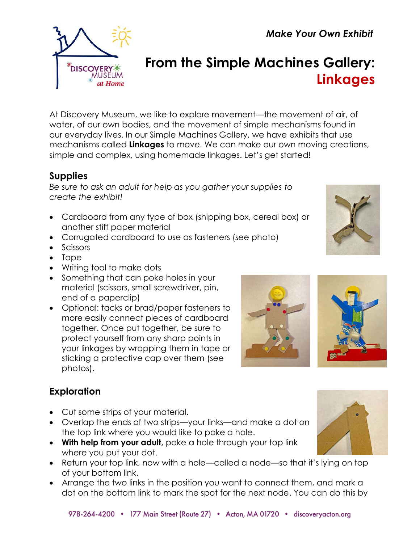*Make Your Own Exhibit*



# **From the Simple Machines Gallery: Linkages**

At Discovery Museum, we like to explore movement—the movement of air, of water, of our own bodies, and the movement of simple mechanisms found in our everyday lives. In our Simple Machines Gallery, we have exhibits that use mechanisms called **Linkages** to move. We can make our own moving creations, simple and complex, using homemade linkages. Let's get started!

## **Supplies**

*Be sure to ask an adult for help as you gather your supplies to create the exhibit!*

- Cardboard from any type of box (shipping box, cereal box) or another stiff paper material
- Corrugated cardboard to use as fasteners (see photo)
- Scissors
- Tape
- Writing tool to make dots
- Something that can poke holes in your material (scissors, small screwdriver, pin, end of a paperclip)
- Optional: tacks or brad/paper fasteners to more easily connect pieces of cardboard together. Once put together, be sure to protect yourself from any sharp points in your linkages by wrapping them in tape or sticking a protective cap over them (see photos).

# **Exploration**

- Cut some strips of your material.
- Overlap the ends of two strips—your links—and make a dot on the top link where you would like to poke a hole.
- **With help from your adult,** poke a hole through your top link where you put your dot.
- Return your top link, now with a hole—called a node—so that it's lying on top of your bottom link.
- Arrange the two links in the position you want to connect them, and mark a dot on the bottom link to mark the spot for the next node. You can do this by





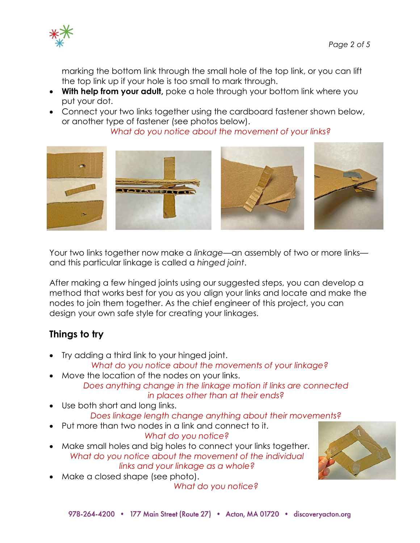

marking the bottom link through the small hole of the top link, or you can lift the top link up if your hole is too small to mark through.

- **With help from your adult,** poke a hole through your bottom link where you put your dot.
- Connect your two links together using the cardboard fastener shown below, or another type of fastener (see photos below).

*What do you notice about the movement of your links?*



Your two links together now make a *linkage*—an assembly of two or more links and this particular linkage is called a *hinged joint*.

After making a few hinged joints using our suggested steps, you can develop a method that works best for you as you align your links and locate and make the nodes to join them together. As the chief engineer of this project, you can design your own safe style for creating your linkages.

# **Things to try**

• Try adding a third link to your hinged joint.

*What do you notice about the movements of your linkage?*

- Move the location of the nodes on your links. *Does anything change in the linkage motion if links are connected in places other than at their ends?*
- Use both short and long links. *Does linkage length change anything about their movements?*
- Put more than two nodes in a link and connect to it.
- *What do you notice?* • Make small holes and big holes to connect your links together. *What do you notice about the movement of the individual links and your linkage as a whole?*
- Make a closed shape (see photo).

*What do you notice?*

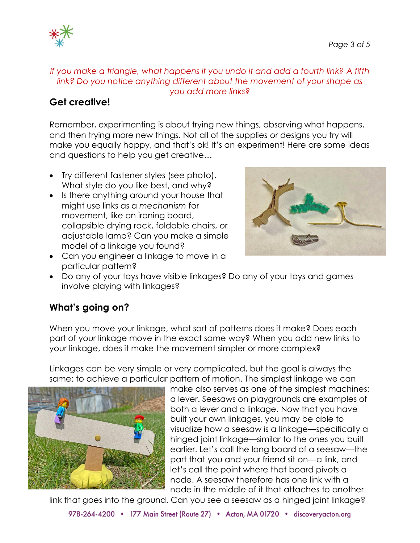

### *If you make a triangle, what happens if you undo it and add a fourth link? A fifth link? Do you notice anything different about the movement of your shape as you add more links?*

## **Get creative!**

Remember, experimenting is about trying new things, observing what happens, and then trying more new things. Not all of the supplies or designs you try will make you equally happy, and that's ok! It's an experiment! Here are some ideas and questions to help you get creative…

- Try different fastener styles (see photo). What style do you like best, and why?
- Is there anything around your house that might use links as a *mechanism* for movement, like an ironing board, collapsible drying rack, foldable chairs, or adjustable lamp? Can you make a simple model of a linkage you found?
- Can you engineer a linkage to move in a particular pattern?



• Do any of your toys have visible linkages? Do any of your toys and games involve playing with linkages?

# **What's going on?**

When you move your linkage, what sort of patterns does it make? Does each part of your linkage move in the exact same way? When you add new links to your linkage, does it make the movement simpler or more complex?

Linkages can be very simple or very complicated, but the goal is always the same: to achieve a particular pattern of motion. The simplest linkage we can



make also serves as one of the simplest machines: a lever. Seesaws on playgrounds are examples of both a lever and a linkage. Now that you have built your own linkages, you may be able to visualize how a seesaw is a linkage—specifically a hinged joint linkage—similar to the ones you built earlier. Let's call the long board of a seesaw—the part that you and your friend sit on—a link, and let's call the point where that board pivots a node. A seesaw therefore has one link with a node in the middle of it that attaches to another

link that goes into the ground. Can you see a seesaw as a hinged joint linkage?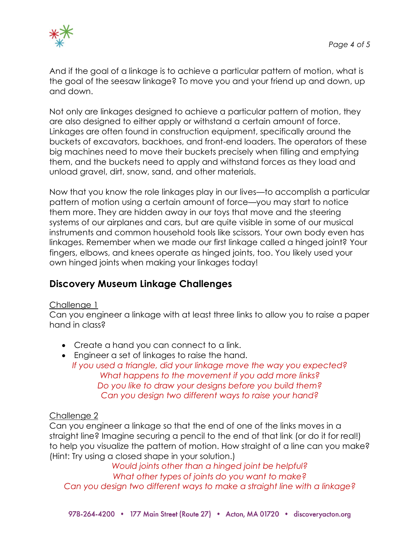

And if the goal of a linkage is to achieve a particular pattern of motion, what is the goal of the seesaw linkage? To move you and your friend up and down, up and down.

Not only are linkages designed to achieve a particular pattern of motion, they are also designed to either apply or withstand a certain amount of force. Linkages are often found in construction equipment, specifically around the buckets of excavators, backhoes, and front-end loaders. The operators of these big machines need to move their buckets precisely when filling and emptying them, and the buckets need to apply and withstand forces as they load and unload gravel, dirt, snow, sand, and other materials.

Now that you know the role linkages play in our lives—to accomplish a particular pattern of motion using a certain amount of force—you may start to notice them more. They are hidden away in our toys that move and the steering systems of our airplanes and cars, but are quite visible in some of our musical instruments and common household tools like scissors. Your own body even has linkages. Remember when we made our first linkage called a hinged joint? Your fingers, elbows, and knees operate as hinged joints, too. You likely used your own hinged joints when making your linkages today!

## **Discovery Museum Linkage Challenges**

#### Challenge 1

Can you engineer a linkage with at least three links to allow you to raise a paper hand in class?

- Create a hand you can connect to a link.
- Engineer a set of linkages to raise the hand.
	- *If you used a triangle, did your linkage move the way you expected? What happens to the movement if you add more links? Do you like to draw your designs before you build them? Can you design two different ways to raise your hand?*

#### Challenge 2

Can you engineer a linkage so that the end of one of the links moves in a straight line? Imagine securing a pencil to the end of that link (or do it for real!) to help you visualize the pattern of motion. How straight of a line can you make? (Hint: Try using a closed shape in your solution.)

*Would joints other than a hinged joint be helpful? What other types of joints do you want to make? Can you design two different ways to make a straight line with a linkage?*